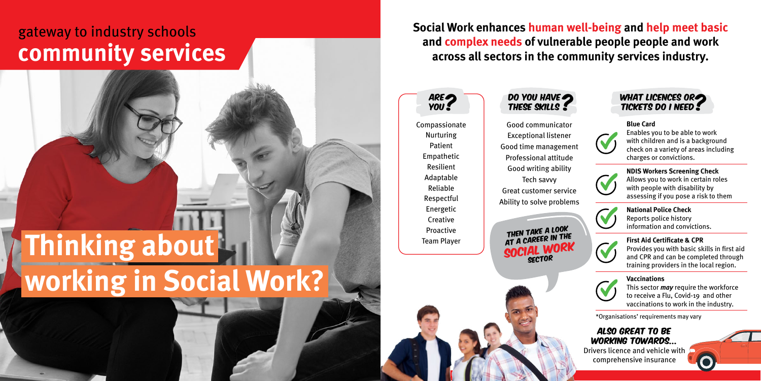Compassionate Nurturing Patient Empathetic Resilient Adaptable Reliable Respectful Energetic **Creative** Proactive Team Player

| ARE<br>YOU :                                          | DO YOU HAVE                                                                                       | WHAT LICENCES ORE<br><b>TICKETS DO I NEED!</b>                                                                                                                           |
|-------------------------------------------------------|---------------------------------------------------------------------------------------------------|--------------------------------------------------------------------------------------------------------------------------------------------------------------------------|
| ıpassionate<br>lurturing<br>Patient<br>npathetic      | Good communicator<br><b>Exceptional listener</b><br>Good time management<br>Professional attitude | <b>Blue Card</b><br>Enables you to be able to work<br>with children and is a background<br>check on a variety of areas including<br>charges or convictions.              |
| <b>Resilient</b><br>daptable<br>Reliable<br>espectful | Good writing ability<br>Tech savvy<br><b>Great customer service</b><br>Ability to solve problems  | <b>NDIS Workers Screening Check</b><br>Allows you to work in certain roles<br>with people with disability by<br>assessing if you pose a risk to them                     |
| nergetic<br>Creative<br>roactive                      | THEN TAKE A LOOK<br>AT A CAREER IN THE<br>SOCIAL WORK<br><b>SECTOR</b>                            | <b>National Police Check</b><br>Reports police history<br>information and convictions.                                                                                   |
| am Player                                             |                                                                                                   | <b>First Aid Certificate &amp; CPR</b><br>Provides you with basic skills in first aid<br>and CPR and can be completed through<br>training providers in the local region. |
|                                                       |                                                                                                   | <b>Vaccinations</b><br>This sector <i>may</i> require the workforce<br>to receive a Flu, Covid-19 and other<br>vaccinations to work in the industry.                     |





## Also great to be working towards... Drivers licence and vehicle with

comprehensive insurance

\*Organisations' requirements may vary

**Social Work enhances human well-being and help meet basic and complex needs of vulnerable people people and work across all sectors in the community services industry.** 

# **Thinking about working in Social Work?**

## gateway to industry schools **community services**